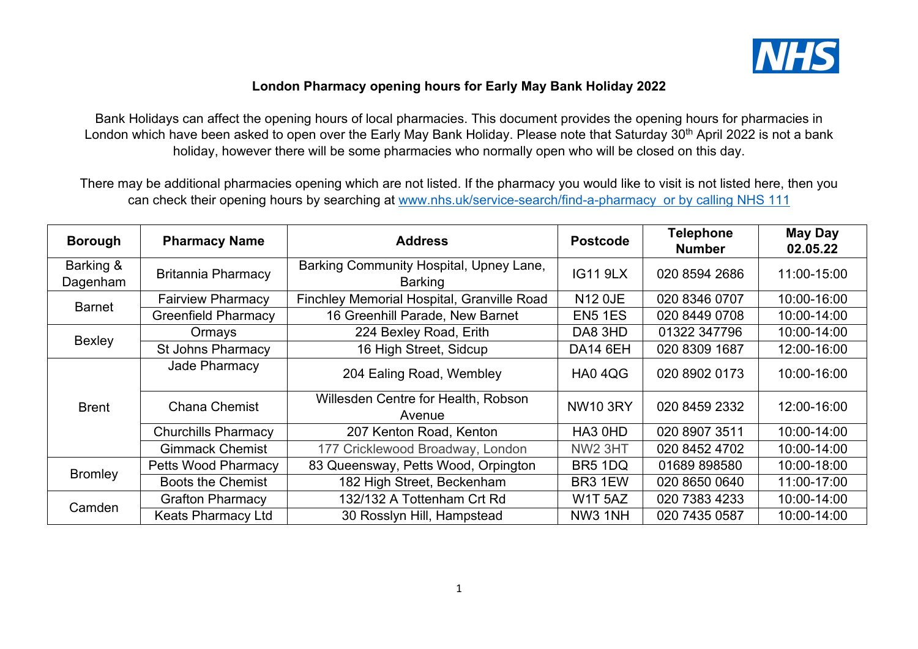

## **London Pharmacy opening hours for Early May Bank Holiday 2022**

Bank Holidays can affect the opening hours of local pharmacies. This document provides the opening hours for pharmacies in London which have been asked to open over the Early May Bank Holiday. Please note that Saturday 30<sup>th</sup> April 2022 is not a bank holiday, however there will be some pharmacies who normally open who will be closed on this day.

There may be additional pharmacies opening which are not listed. If the pharmacy you would like to visit is not listed here, then you can check their opening hours by searching at [www.nhs.uk/service-search/find-a-pharmacy](http://www.nhs.uk/service-search/find-a-pharmacy) or by calling NHS 111

| <b>Borough</b>        | <b>Pharmacy Name</b>       | <b>Address</b>                                            | <b>Postcode</b>     | <b>Telephone</b><br><b>Number</b> | <b>May Day</b><br>02.05.22 |
|-----------------------|----------------------------|-----------------------------------------------------------|---------------------|-----------------------------------|----------------------------|
| Barking &<br>Dagenham | <b>Britannia Pharmacy</b>  | Barking Community Hospital, Upney Lane,<br><b>Barking</b> | <b>IG11 9LX</b>     | 020 8594 2686                     | 11:00-15:00                |
| <b>Barnet</b>         | <b>Fairview Pharmacy</b>   | Finchley Memorial Hospital, Granville Road                | <b>N12 OJE</b>      | 020 8346 0707                     | 10:00-16:00                |
|                       | <b>Greenfield Pharmacy</b> | 16 Greenhill Parade, New Barnet                           | EN <sub>5</sub> 1ES | 020 8449 0708                     | 10:00-14:00                |
| Bexley                | Ormays                     | 224 Bexley Road, Erith                                    | DA8 3HD             | 01322 347796                      | 10:00-14:00                |
|                       | St Johns Pharmacy          | 16 High Street, Sidcup                                    | <b>DA14 6EH</b>     | 020 8309 1687                     | 12:00-16:00                |
| <b>Brent</b>          | Jade Pharmacy              | 204 Ealing Road, Wembley                                  | <b>HA0 4QG</b>      | 020 8902 0173                     | 10:00-16:00                |
|                       | <b>Chana Chemist</b>       | Willesden Centre for Health, Robson<br>Avenue             | <b>NW10 3RY</b>     | 020 8459 2332                     | 12:00-16:00                |
|                       | <b>Churchills Pharmacy</b> | 207 Kenton Road, Kenton                                   | HA3 0HD             | 020 8907 3511                     | 10:00-14:00                |
|                       | <b>Gimmack Chemist</b>     | 177 Cricklewood Broadway, London                          | NW <sub>2</sub> 3HT | 020 8452 4702                     | 10:00-14:00                |
| <b>Bromley</b>        | <b>Petts Wood Pharmacy</b> | 83 Queensway, Petts Wood, Orpington                       | BR5 1DQ             | 01689 898580                      | 10:00-18:00                |
|                       | <b>Boots the Chemist</b>   | 182 High Street, Beckenham                                | BR3 1EW             | 020 8650 0640                     | 11:00-17:00                |
| Camden                | <b>Grafton Pharmacy</b>    | 132/132 A Tottenham Crt Rd                                | W1T <sub>5AZ</sub>  | 020 7383 4233                     | 10:00-14:00                |
|                       | <b>Keats Pharmacy Ltd</b>  | 30 Rosslyn Hill, Hampstead                                | NW3 1NH             | 020 7435 0587                     | 10:00-14:00                |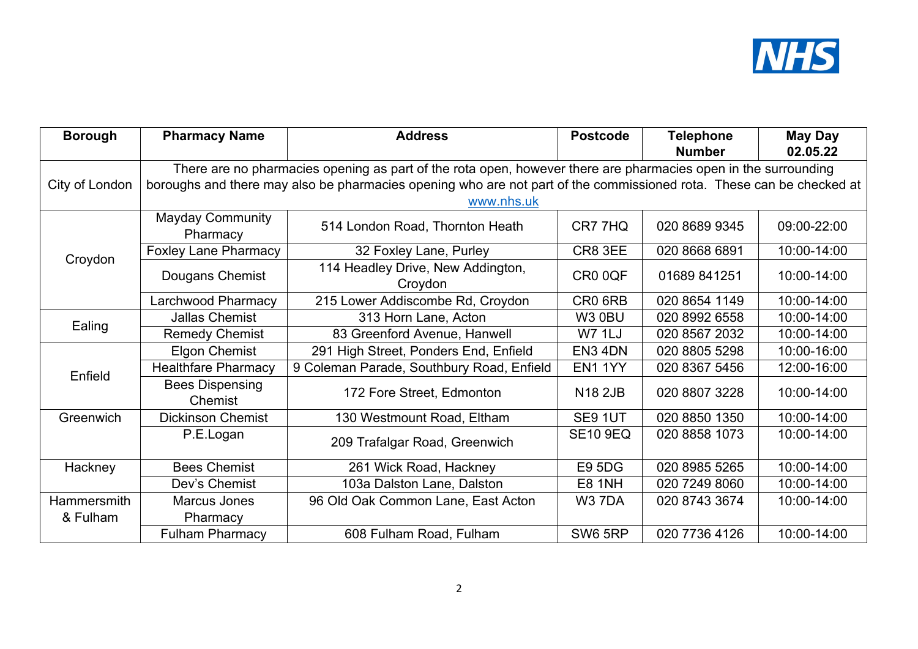

| <b>Borough</b>     | <b>Pharmacy Name</b>                                                                                                               | <b>Address</b>                               | <b>Postcode</b> | <b>Telephone</b><br><b>Number</b> | <b>May Day</b><br>02.05.22 |  |
|--------------------|------------------------------------------------------------------------------------------------------------------------------------|----------------------------------------------|-----------------|-----------------------------------|----------------------------|--|
|                    | There are no pharmacies opening as part of the rota open, however there are pharmacies open in the surrounding                     |                                              |                 |                                   |                            |  |
| City of London     | boroughs and there may also be pharmacies opening who are not part of the commissioned rota. These can be checked at<br>www.nhs.uk |                                              |                 |                                   |                            |  |
| Croydon            | <b>Mayday Community</b><br>Pharmacy                                                                                                | 514 London Road, Thornton Heath              | CR7 7HQ         | 020 8689 9345                     | 09:00-22:00                |  |
|                    | <b>Foxley Lane Pharmacy</b>                                                                                                        | 32 Foxley Lane, Purley                       | CR8 3EE         | 020 8668 6891                     | 10:00-14:00                |  |
|                    | Dougans Chemist                                                                                                                    | 114 Headley Drive, New Addington,<br>Croydon | CR0 0QF         | 01689 841251                      | 10:00-14:00                |  |
|                    | Larchwood Pharmacy                                                                                                                 | 215 Lower Addiscombe Rd, Croydon             | CR0 6RB         | 020 8654 1149                     | 10:00-14:00                |  |
|                    | <b>Jallas Chemist</b>                                                                                                              | 313 Horn Lane, Acton                         | <b>W3 0BU</b>   | 020 8992 6558                     | 10:00-14:00                |  |
| Ealing             | <b>Remedy Chemist</b>                                                                                                              | 83 Greenford Avenue, Hanwell                 | <b>W7 1LJ</b>   | 020 8567 2032                     | 10:00-14:00                |  |
|                    | <b>Elgon Chemist</b>                                                                                                               | 291 High Street, Ponders End, Enfield        | EN3 4DN         | 020 8805 5298                     | 10:00-16:00                |  |
| Enfield            | <b>Healthfare Pharmacy</b>                                                                                                         | 9 Coleman Parade, Southbury Road, Enfield    | EN1 1YY         | 020 8367 5456                     | 12:00-16:00                |  |
|                    | <b>Bees Dispensing</b><br>Chemist                                                                                                  | 172 Fore Street, Edmonton                    | <b>N18 2JB</b>  | 020 8807 3228                     | 10:00-14:00                |  |
| Greenwich          | <b>Dickinson Chemist</b>                                                                                                           | 130 Westmount Road, Eltham                   | SE9 1UT         | 020 8850 1350                     | 10:00-14:00                |  |
|                    | P.E.Logan                                                                                                                          | 209 Trafalgar Road, Greenwich                | <b>SE10 9EQ</b> | 020 8858 1073                     | 10:00-14:00                |  |
| Hackney            | <b>Bees Chemist</b>                                                                                                                | 261 Wick Road, Hackney                       | <b>E9 5DG</b>   | 020 8985 5265                     | 10:00-14:00                |  |
|                    | Dev's Chemist                                                                                                                      | 103a Dalston Lane, Dalston                   | <b>E8 1NH</b>   | 020 7249 8060                     | 10:00-14:00                |  |
| <b>Hammersmith</b> | Marcus Jones                                                                                                                       | 96 Old Oak Common Lane, East Acton           | W37DA           | 020 8743 3674                     | 10:00-14:00                |  |
| & Fulham           | Pharmacy                                                                                                                           |                                              |                 |                                   |                            |  |
|                    | <b>Fulham Pharmacy</b>                                                                                                             | 608 Fulham Road, Fulham                      | SW6 5RP         | 020 7736 4126                     | 10:00-14:00                |  |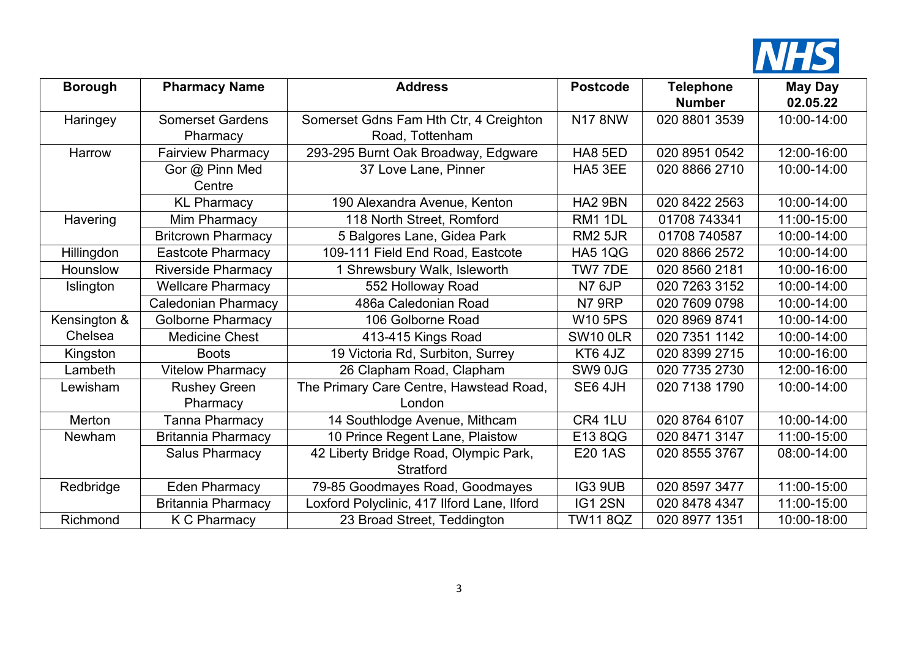

| <b>Borough</b> | <b>Pharmacy Name</b>       | <b>Address</b>                              | <b>Postcode</b> | <b>Telephone</b> | <b>May Day</b> |
|----------------|----------------------------|---------------------------------------------|-----------------|------------------|----------------|
|                |                            |                                             |                 | <b>Number</b>    | 02.05.22       |
| Haringey       | <b>Somerset Gardens</b>    | Somerset Gdns Fam Hth Ctr, 4 Creighton      | <b>N17 8NW</b>  | 020 8801 3539    | 10:00-14:00    |
|                | Pharmacy                   | Road, Tottenham                             |                 |                  |                |
| Harrow         | <b>Fairview Pharmacy</b>   | 293-295 Burnt Oak Broadway, Edgware         | HA8 5ED         | 020 8951 0542    | 12:00-16:00    |
|                | Gor @ Pinn Med             | 37 Love Lane, Pinner                        | HA5 3EE         | 020 8866 2710    | 10:00-14:00    |
|                | Centre                     |                                             |                 |                  |                |
|                | <b>KL Pharmacy</b>         | 190 Alexandra Avenue, Kenton                | <b>HA2 9BN</b>  | 020 8422 2563    | 10:00-14:00    |
| Havering       | Mim Pharmacy               | 118 North Street, Romford                   | <b>RM1 1DL</b>  | 01708 743341     | 11:00-15:00    |
|                | <b>Britcrown Pharmacy</b>  | 5 Balgores Lane, Gidea Park                 | <b>RM2 5JR</b>  | 01708 740587     | 10:00-14:00    |
| Hillingdon     | <b>Eastcote Pharmacy</b>   | 109-111 Field End Road, Eastcote            | <b>HA5 1QG</b>  | 020 8866 2572    | 10:00-14:00    |
| Hounslow       | <b>Riverside Pharmacy</b>  | Shrewsbury Walk, Isleworth                  | TW7 7DE         | 020 8560 2181    | 10:00-16:00    |
| Islington      | <b>Wellcare Pharmacy</b>   | 552 Holloway Road                           | <b>N7 6JP</b>   | 020 7263 3152    | 10:00-14:00    |
|                | <b>Caledonian Pharmacy</b> | 486a Caledonian Road                        | N7 9RP          | 020 7609 0798    | 10:00-14:00    |
| Kensington &   | <b>Golborne Pharmacy</b>   | 106 Golborne Road                           | <b>W10 5PS</b>  | 020 8969 8741    | 10:00-14:00    |
| Chelsea        | <b>Medicine Chest</b>      | 413-415 Kings Road                          | <b>SW10 0LR</b> | 020 7351 1142    | 10:00-14:00    |
| Kingston       | <b>Boots</b>               | 19 Victoria Rd, Surbiton, Surrey            | KT6 4JZ         | 020 8399 2715    | 10:00-16:00    |
| Lambeth        | <b>Vitelow Pharmacy</b>    | 26 Clapham Road, Clapham                    | SW9 0JG         | 020 7735 2730    | 12:00-16:00    |
| Lewisham       | <b>Rushey Green</b>        | The Primary Care Centre, Hawstead Road,     | SE6 4JH         | 020 7138 1790    | 10:00-14:00    |
|                | Pharmacy                   | London                                      |                 |                  |                |
| Merton         | <b>Tanna Pharmacy</b>      | 14 Southlodge Avenue, Mithcam               | CR4 1LU         | 020 8764 6107    | 10:00-14:00    |
| <b>Newham</b>  | <b>Britannia Pharmacy</b>  | 10 Prince Regent Lane, Plaistow             | E13 8QG         | 020 8471 3147    | 11:00-15:00    |
|                | <b>Salus Pharmacy</b>      | 42 Liberty Bridge Road, Olympic Park,       | <b>E20 1AS</b>  | 020 8555 3767    | 08:00-14:00    |
|                |                            | <b>Stratford</b>                            |                 |                  |                |
| Redbridge      | <b>Eden Pharmacy</b>       | 79-85 Goodmayes Road, Goodmayes             | IG3 9UB         | 020 8597 3477    | 11:00-15:00    |
|                | <b>Britannia Pharmacy</b>  | Loxford Polyclinic, 417 Ilford Lane, Ilford | IG1 2SN         | 020 8478 4347    | 11:00-15:00    |
| Richmond       | <b>K C Pharmacy</b>        | 23 Broad Street, Teddington                 | <b>TW11 8QZ</b> | 020 8977 1351    | 10:00-18:00    |